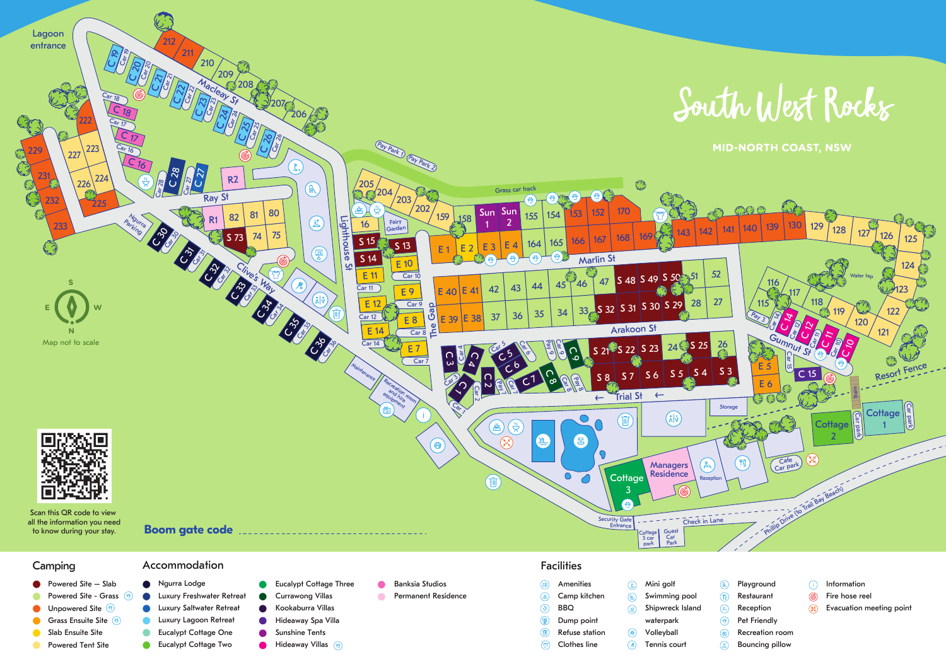

- 
- $\bullet$  Powered Site Slab
- Powered Site Grass  $<sup>3</sup>$ </sup>
- Unpowered Site <sup>(5)</sup>
- Grass Ensuite Site (\*)
- Slab Ensuite Site
- **Powered Tent Site**
- Luxury Saltwater Retreat  $\bullet$ Luxury Lagoon Retreat  $\bullet$ Eucalypt Cottage One  $\bullet$ **Eucalypt Cottage Two**

Naurra Lodge

 $\bullet$ 

- Luxury Freshwater Retreat Currawong Villas Kookaburra Villas **Hideaway Spa Villa** Sunshine Tents
	-
- 

**Cottage Three** 

- 
- 
- Banksia Studios
	- $\sqrt{2}$
- Permanent Residence
- 
- 
- **Hideaway Villas** <sup>(8)</sup>
- 
- 
- 
- -
- 
- 
- 
- 
- $(\lambda | \delta)$ 
	- Amenities (▲) Camp kitchen BBQ ⊛
		- $\circledR$ Dump point  $\textcircled{f}$

 $\bigcirc$ 

- Refuse station Clothes line
- Volleyball Tennis court

Mini golf

 $\Omega$ 

 $\circledR$ 

 $\mathbb{R}$ 

 $\circledcirc$ 

waterpark

Swimming pool  $($ Restaurant Shipwreck Island Reception  $\mathbb{A}$ Pet Friendly  $\circledast$  $\circledast$ 

 $\mathbb{R}$ 

- Information ⋒
- ௵ Fire hose reel
- **Evacuation meeting point**
- 
- Bouncing pillow

**Playground** 

- 
- $\mathbb{Q}$
- 
- Recreation room